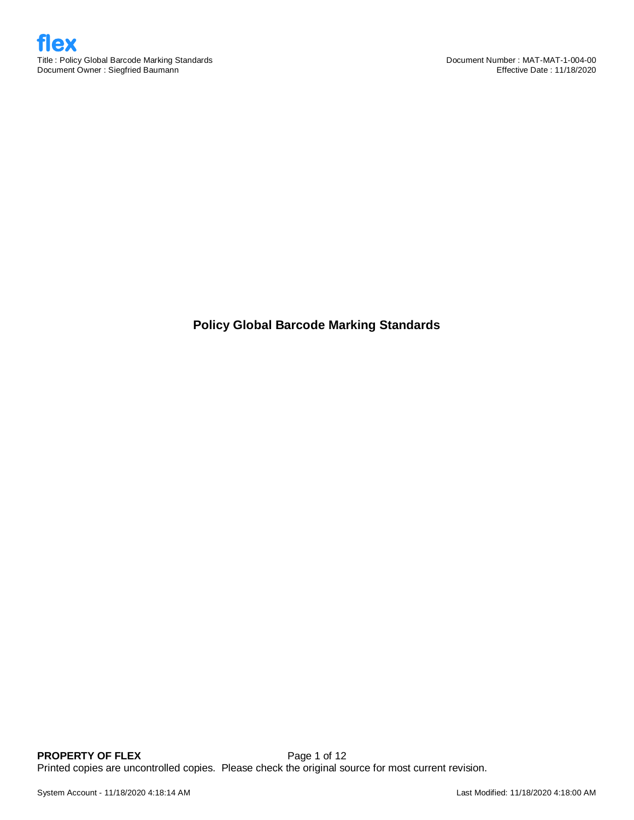

**Policy Global Barcode Marking Standards**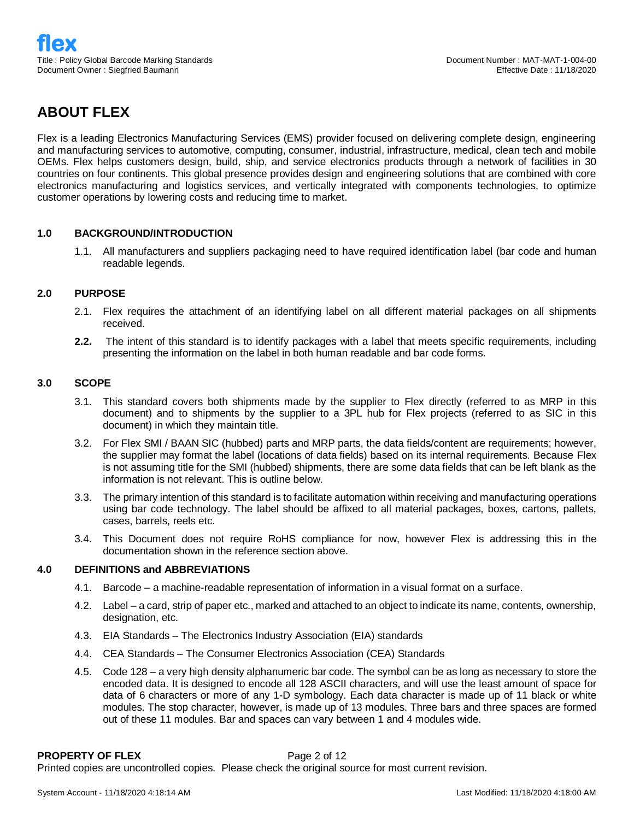# **ABOUT FLEX**

Flex is a leading Electronics Manufacturing Services (EMS) provider focused on delivering complete design, engineering and manufacturing services to automotive, computing, consumer, industrial, infrastructure, medical, clean tech and mobile OEMs. Flex helps customers design, build, ship, and service electronics products through a network of facilities in 30 countries on four continents. This global presence provides design and engineering solutions that are combined with core electronics manufacturing and logistics services, and vertically integrated with components technologies, to optimize customer operations by lowering costs and reducing time to market.

## **1.0 BACKGROUND/INTRODUCTION**

1.1. All manufacturers and suppliers packaging need to have required identification label (bar code and human readable legends.

## **2.0 PURPOSE**

- 2.1. Flex requires the attachment of an identifying label on all different material packages on all shipments received.
- **2.2.** The intent of this standard is to identify packages with a label that meets specific requirements, including presenting the information on the label in both human readable and bar code forms.

## **3.0 SCOPE**

- 3.1. This standard covers both shipments made by the supplier to Flex directly (referred to as MRP in this document) and to shipments by the supplier to a 3PL hub for Flex projects (referred to as SIC in this document) in which they maintain title.
- 3.2. For Flex SMI / BAAN SIC (hubbed) parts and MRP parts, the data fields/content are requirements; however, the supplier may format the label (locations of data fields) based on its internal requirements. Because Flex is not assuming title for the SMI (hubbed) shipments, there are some data fields that can be left blank as the information is not relevant. This is outline below.
- 3.3. The primary intention of this standard is to facilitate automation within receiving and manufacturing operations using bar code technology. The label should be affixed to all material packages, boxes, cartons, pallets, cases, barrels, reels etc.
- 3.4. This Document does not require RoHS compliance for now, however Flex is addressing this in the documentation shown in the reference section above.

## **4.0 DEFINITIONS and ABBREVIATIONS**

- 4.1. Barcode a machine-readable representation of information in a visual format on a surface.
- 4.2. Label a card, strip of paper etc., marked and attached to an object to indicate its name, contents, ownership, designation, etc.
- 4.3. EIA Standards The Electronics Industry Association (EIA) standards
- 4.4. CEA Standards The Consumer Electronics Association (CEA) Standards
- 4.5. Code 128 a very high density alphanumeric bar code. The symbol can be as long as necessary to store the encoded data. It is designed to encode all 128 ASCII characters, and will use the least amount of space for data of 6 characters or more of any 1-D symbology. Each data character is made up of 11 black or white modules. The stop character, however, is made up of 13 modules. Three bars and three spaces are formed out of these 11 modules. Bar and spaces can vary between 1 and 4 modules wide.

## **PROPERTY OF FLEX** Page 2 of 12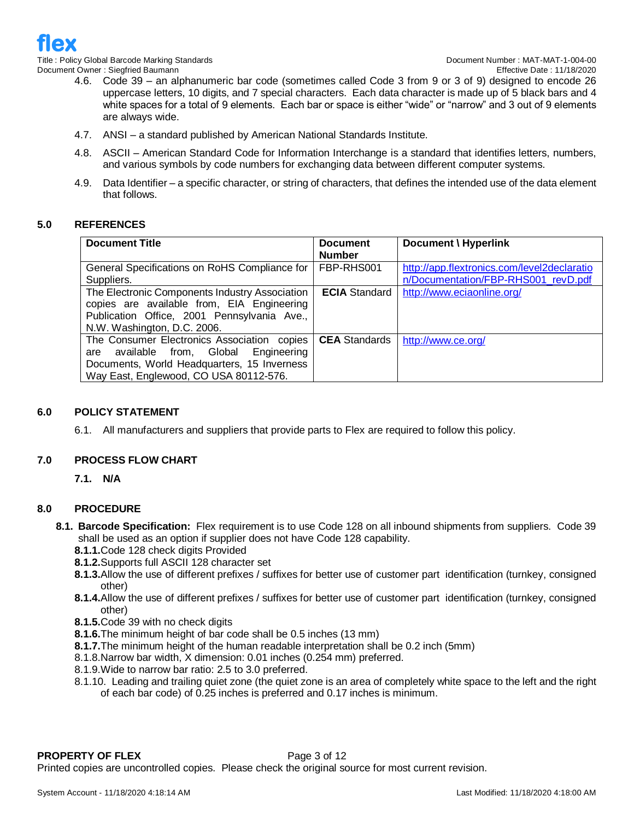

- 4.6. Code 39 an alphanumeric bar code (sometimes called Code 3 from 9 or 3 of 9) designed to encode 26 uppercase letters, 10 digits, and 7 special characters. Each data character is made up of 5 black bars and 4 white spaces for a total of 9 elements. Each bar or space is either "wide" or "narrow" and 3 out of 9 elements are always wide.
- 4.7. ANSI a standard published by American National Standards Institute.
- 4.8. ASCII American Standard Code for Information Interchange is a standard that identifies letters, numbers, and various symbols by code numbers for exchanging data between different computer systems.
- 4.9. Data Identifier a specific character, or string of characters, that defines the intended use of the data element that follows.

## **5.0 REFERENCES**

| <b>Document Title</b>                          | <b>Document</b>      | Document \ Hyperlink                        |
|------------------------------------------------|----------------------|---------------------------------------------|
|                                                | <b>Number</b>        |                                             |
| General Specifications on RoHS Compliance for  | FBP-RHS001           | http://app.flextronics.com/level2declaratio |
| Suppliers.                                     |                      | n/Documentation/FBP-RHS001 revD.pdf         |
| The Electronic Components Industry Association | <b>ECIA</b> Standard | http://www.eciaonline.org/                  |
| copies are available from, EIA Engineering     |                      |                                             |
| Publication Office, 2001 Pennsylvania Ave.,    |                      |                                             |
| N.W. Washington, D.C. 2006.                    |                      |                                             |
| The Consumer Electronics Association copies    | <b>CEA</b> Standards | http://www.ce.org/                          |
| available from, Global Engineering<br>are      |                      |                                             |
| Documents, World Headquarters, 15 Inverness    |                      |                                             |
| Way East, Englewood, CO USA 80112-576.         |                      |                                             |

## **6.0 POLICY STATEMENT**

6.1. All manufacturers and suppliers that provide parts to Flex are required to follow this policy.

## **7.0 PROCESS FLOW CHART**

**7.1. N/A**

## **8.0 PROCEDURE**

- **8.1. Barcode Specification:** Flex requirement is to use Code 128 on all inbound shipments from suppliers. Code 39 shall be used as an option if supplier does not have Code 128 capability.
	- **8.1.1.**Code 128 check digits Provided
	- **8.1.2.**Supports full ASCII 128 character set
	- **8.1.3.**Allow the use of different prefixes / suffixes for better use of customer part identification (turnkey, consigned other)
	- **8.1.4.**Allow the use of different prefixes / suffixes for better use of customer part identification (turnkey, consigned other)
	- **8.1.5.**Code 39 with no check digits
	- **8.1.6.**The minimum height of bar code shall be 0.5 inches (13 mm)
	- **8.1.7.**The minimum height of the human readable interpretation shall be 0.2 inch (5mm)
	- 8.1.8.Narrow bar width, X dimension: 0.01 inches (0.254 mm) preferred.
	- 8.1.9.Wide to narrow bar ratio: 2.5 to 3.0 preferred.
	- 8.1.10. Leading and trailing quiet zone (the quiet zone is an area of completely white space to the left and the right of each bar code) of 0.25 inches is preferred and 0.17 inches is minimum.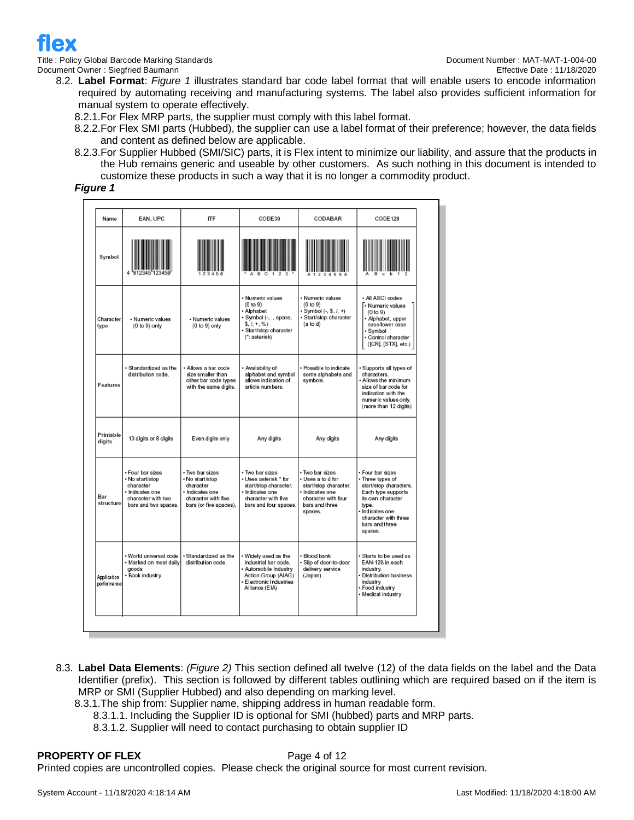

Title : Policy Global Barcode Marking Standards Document Number : MAT-MAT-1-004-00

- 8.2. **Label Format**: *Figure 1* illustrates standard bar code label format that will enable users to encode information required by automating receiving and manufacturing systems. The label also provides sufficient information for manual system to operate effectively.
	- 8.2.1.For Flex MRP parts, the supplier must comply with this label format.
	- 8.2.2.For Flex SMI parts (Hubbed), the supplier can use a label format of their preference; however, the data fields and content as defined below are applicable.
	- 8.2.3.For Supplier Hubbed (SMI/SIC) parts, it is Flex intent to minimize our liability, and assure that the products in the Hub remains generic and useable by other customers. As such nothing in this document is intended to customize these products in such a way that it is no longer a commodity product.

## *Figure 1*

| Name                              | EAN, UPC                                                                                                          | <b>ITF</b>                                                                                                         | CODE39                                                                                                                                    | CODABAR                                                                                                                            | CODE128                                                                                                                                                                                  |
|-----------------------------------|-------------------------------------------------------------------------------------------------------------------|--------------------------------------------------------------------------------------------------------------------|-------------------------------------------------------------------------------------------------------------------------------------------|------------------------------------------------------------------------------------------------------------------------------------|------------------------------------------------------------------------------------------------------------------------------------------------------------------------------------------|
| Symbol                            |                                                                                                                   |                                                                                                                    |                                                                                                                                           |                                                                                                                                    |                                                                                                                                                                                          |
| Character<br>type                 | · Numeric values<br>$(0 to 9)$ only                                                                               | • Numeric values<br>$(0 to 9)$ only                                                                                | · Numeric values<br>(0 to 9)<br>· Alphabet<br>• Symbol (-, ., space,<br>$5.1 + .\%$<br>· Start/stop character<br>(*: asterisk)            | · Numeric values<br>(0 to 9)<br>$-Sumbol (-, S, /, +)$<br>· Start/stop character<br>(a to d)                                       | · All ASCI codes<br>.<br>• Numeric values<br>(0 to 9)<br>· Alphabet, upper<br>case/lower case<br>• Symbol<br>· Control character<br>([CR], [STX], etc.)                                  |
| Features                          | · Standardized as the<br>distribution code.                                                                       | • Allows a bar code<br>size smaller than<br>other bar code types<br>with the same digits.                          | · Availability of<br>alphabet and symbol<br>allows indication of<br>article numbers.                                                      | • Possible to indicate<br>some alphabets and<br>symbols.                                                                           | Supports all types of<br>characters.<br>Allows the minimum<br>size of bar code for<br>indication with the<br>numeric values only.<br>(more than 12 digits)                               |
| Printable<br>digits               | 13 digits or 8 digits                                                                                             | Even digits only                                                                                                   | Any digits                                                                                                                                | Any digits                                                                                                                         | Any digits                                                                                                                                                                               |
| Bar<br>structure                  | · Four bar sizes<br>. No start/stop<br>character<br>· Indicates one<br>character with two<br>bars and two spaces. | • Two barsizes<br>• No start/stop<br>character<br>· Indicates one<br>character with five<br>bars (or five spaces). | • Two barsizes<br>• Uses asterisk * for<br>start/stop character.<br>· Indicates one<br>character with five<br>bars and four spaces.       | · Two bar sizes<br>• Uses a to d for<br>start/stop character.<br>Indicates one<br>character with four<br>bars and three<br>spaces. | · Four bar sizes<br>· Three types of<br>start/stop characters.<br>Each type supports<br>its own character<br>type.<br>Indicates one<br>character with three<br>bars and three<br>spaces. |
| <b>Application</b><br>performance | · World universal code<br>· Marked on most daily<br>goods<br>· Book industry                                      | · Standardized as the<br>distribution code.                                                                        | • Widely used as the<br>industrial bar code.<br>· Automobile Industry<br>Action Group (AIAG)<br>· Electronic Industries<br>Alliance (EIA) | • Blood bank<br>• Slip of door-to-door<br>delivery service<br>(Japan)                                                              | Starts to be used as<br>EAN-128 in each<br>industry.<br>· Distribution business<br>industry<br>• Food industry<br>• Medical industry                                                     |

- 8.3. **Label Data Elements**: *(Figure 2)* This section defined all twelve (12) of the data fields on the label and the Data Identifier (prefix). This section is followed by different tables outlining which are required based on if the item is MRP or SMI (Supplier Hubbed) and also depending on marking level.
	- 8.3.1.The ship from: Supplier name, shipping address in human readable form.
		- 8.3.1.1. Including the Supplier ID is optional for SMI (hubbed) parts and MRP parts.
		- 8.3.1.2. Supplier will need to contact purchasing to obtain supplier ID

## **PROPERTY OF FLEX** Page 4 of 12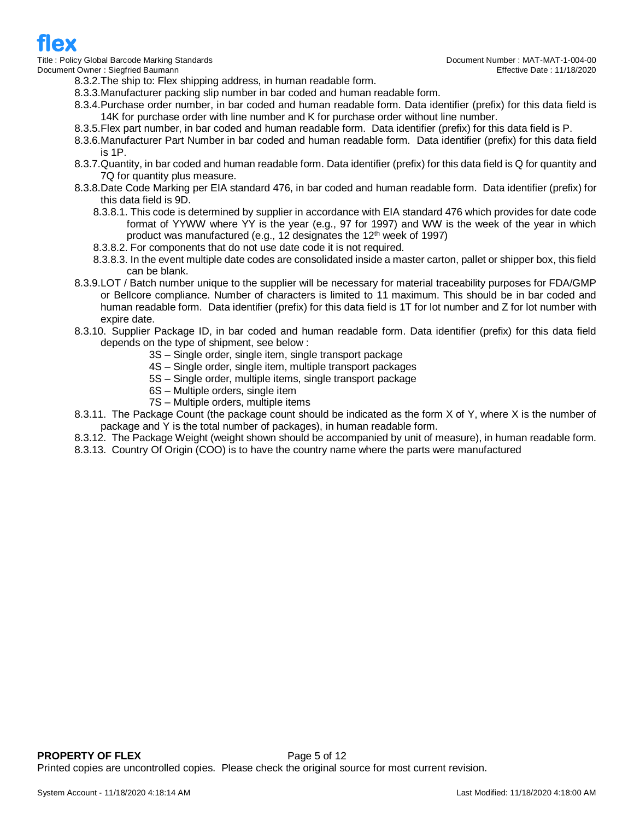8.3.2.The ship to: Flex shipping address, in human readable form.

- 8.3.3.Manufacturer packing slip number in bar coded and human readable form.
- 8.3.4.Purchase order number, in bar coded and human readable form. Data identifier (prefix) for this data field is 14K for purchase order with line number and K for purchase order without line number.
- 8.3.5.Flex part number, in bar coded and human readable form. Data identifier (prefix) for this data field is P.
- 8.3.6.Manufacturer Part Number in bar coded and human readable form. Data identifier (prefix) for this data field is 1P.
- 8.3.7.Quantity, in bar coded and human readable form. Data identifier (prefix) for this data field is Q for quantity and 7Q for quantity plus measure.
- 8.3.8.Date Code Marking per EIA standard 476, in bar coded and human readable form. Data identifier (prefix) for this data field is 9D.
	- 8.3.8.1. This code is determined by supplier in accordance with EIA standard 476 which provides for date code format of YYWW where YY is the year (e.g., 97 for 1997) and WW is the week of the year in which product was manufactured (e.g., 12 designates the  $12<sup>th</sup>$  week of 1997)
	- 8.3.8.2. For components that do not use date code it is not required.
	- 8.3.8.3. In the event multiple date codes are consolidated inside a master carton, pallet or shipper box, this field can be blank.
- 8.3.9.LOT / Batch number unique to the supplier will be necessary for material traceability purposes for FDA/GMP or Bellcore compliance. Number of characters is limited to 11 maximum. This should be in bar coded and human readable form. Data identifier (prefix) for this data field is 1T for lot number and Z for lot number with expire date.
- 8.3.10. Supplier Package ID, in bar coded and human readable form. Data identifier (prefix) for this data field depends on the type of shipment, see below :
	- 3S Single order, single item, single transport package
	- 4S Single order, single item, multiple transport packages
	- 5S Single order, multiple items, single transport package
	- 6S Multiple orders, single item
	- 7S Multiple orders, multiple items
- 8.3.11. The Package Count (the package count should be indicated as the form X of Y, where X is the number of package and Y is the total number of packages), in human readable form.
- 8.3.12. The Package Weight (weight shown should be accompanied by unit of measure), in human readable form.
- 8.3.13. Country Of Origin (COO) is to have the country name where the parts were manufactured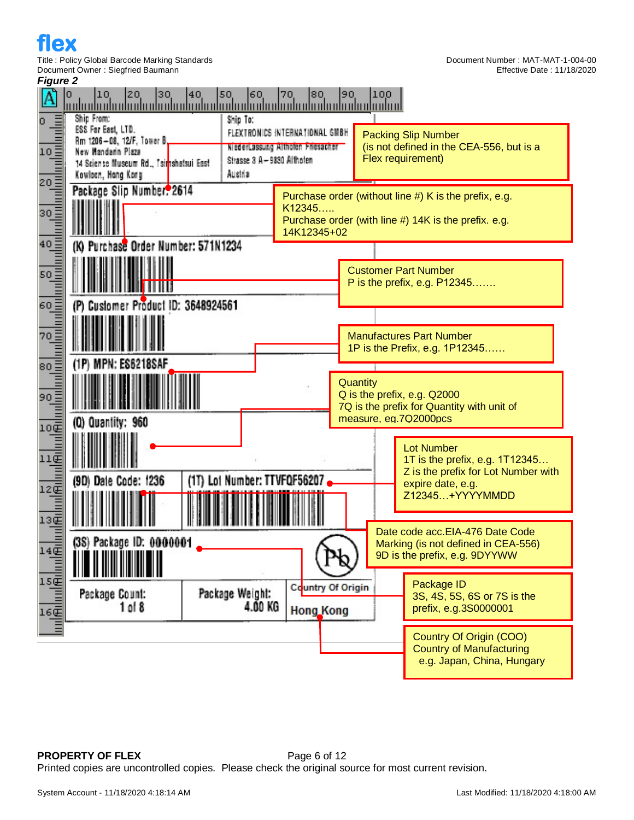



**PROPERTY OF FLEX** Page 6 of 12 Printed copies are uncontrolled copies. Please check the original source for most current revision.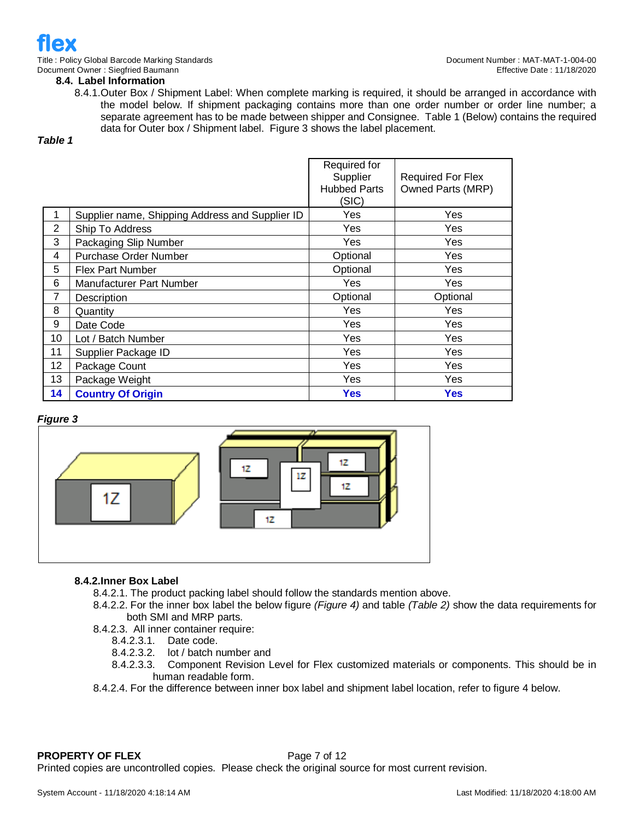

**8.4. Label Information** 

8.4.1.Outer Box / Shipment Label: When complete marking is required, it should be arranged in accordance with the model below. If shipment packaging contains more than one order number or order line number; a separate agreement has to be made between shipper and Consignee. Table 1 (Below) contains the required data for Outer box / Shipment label. Figure 3 shows the label placement.

*Table 1*

|                |                                                 | Required for<br>Supplier<br><b>Hubbed Parts</b><br>(SIC) | <b>Required For Flex</b><br>Owned Parts (MRP) |
|----------------|-------------------------------------------------|----------------------------------------------------------|-----------------------------------------------|
|                | Supplier name, Shipping Address and Supplier ID | Yes                                                      | Yes                                           |
| $\overline{2}$ | Ship To Address                                 | Yes                                                      | Yes                                           |
| 3              | Packaging Slip Number                           | Yes                                                      | Yes                                           |
| 4              | <b>Purchase Order Number</b>                    | Optional                                                 | Yes                                           |
| 5              | <b>Flex Part Number</b>                         | Optional                                                 | Yes                                           |
| 6              | Manufacturer Part Number                        | Yes                                                      | Yes                                           |
| 7              | Description                                     | Optional                                                 | Optional                                      |
| 8              | Quantity                                        | Yes                                                      | Yes                                           |
| 9              | Date Code                                       | Yes                                                      | Yes                                           |
| 10             | Lot / Batch Number                              | Yes                                                      | Yes                                           |
| 11             | Supplier Package ID                             | Yes                                                      | Yes                                           |
| 12             | Package Count                                   | Yes                                                      | Yes                                           |
| 13             | Package Weight                                  | Yes                                                      | Yes                                           |
| 14             | <b>Country Of Origin</b>                        | Yes                                                      | Yes                                           |

## *Figure 3*



## **8.4.2.Inner Box Label**

- 8.4.2.1. The product packing label should follow the standards mention above.
- 8.4.2.2. For the inner box label the below figure *(Figure 4)* and table *(Table 2)* show the data requirements for both SMI and MRP parts.
- 8.4.2.3. All inner container require:
	- 8.4.2.3.1. Date code.
	- 8.4.2.3.2. lot / batch number and
	- 8.4.2.3.3. Component Revision Level for Flex customized materials or components. This should be in human readable form.
- 8.4.2.4. For the difference between inner box label and shipment label location, refer to figure 4 below.

## **PROPERTY OF FLEX** Page 7 of 12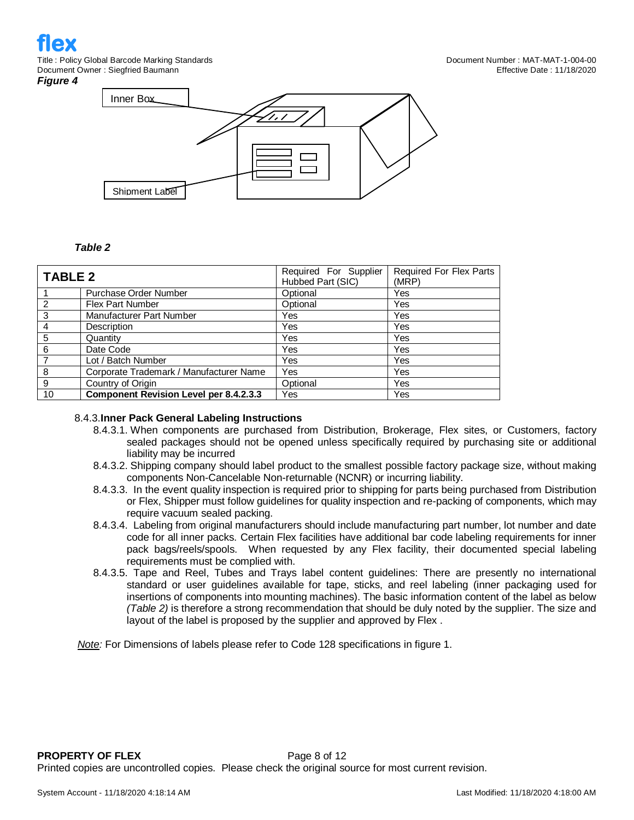#### *Figure 4*



## *Table 2*

| TABLE 2        |                                               | Required For Supplier<br>Hubbed Part (SIC) | Required For Flex Parts<br>(MRP) |
|----------------|-----------------------------------------------|--------------------------------------------|----------------------------------|
|                | Purchase Order Number                         | Optional                                   | Yes                              |
| $\overline{2}$ | <b>Flex Part Number</b>                       | Optional                                   | Yes                              |
| $\overline{3}$ | <b>Manufacturer Part Number</b>               | Yes                                        | Yes                              |
| $\overline{4}$ | Description                                   | Yes                                        | Yes                              |
| 5              | Quantity                                      | Yes                                        | Yes                              |
| - 6            | Date Code                                     | <b>Yes</b>                                 | Yes                              |
| -7             | Lot / Batch Number                            | Yes                                        | Yes                              |
| -8             | Corporate Trademark / Manufacturer Name       | Yes                                        | Yes                              |
| - 9            | Country of Origin                             | Optional                                   | Yes                              |
| 10             | <b>Component Revision Level per 8.4.2.3.3</b> | Yes                                        | Yes                              |

## 8.4.3.**Inner Pack General Labeling Instructions**

- 8.4.3.1. When components are purchased from Distribution, Brokerage, Flex sites, or Customers, factory sealed packages should not be opened unless specifically required by purchasing site or additional liability may be incurred
- 8.4.3.2. Shipping company should label product to the smallest possible factory package size, without making components Non-Cancelable Non-returnable (NCNR) or incurring liability.
- 8.4.3.3. In the event quality inspection is required prior to shipping for parts being purchased from Distribution or Flex, Shipper must follow guidelines for quality inspection and re-packing of components, which may require vacuum sealed packing.
- 8.4.3.4. Labeling from original manufacturers should include manufacturing part number, lot number and date code for all inner packs. Certain Flex facilities have additional bar code labeling requirements for inner pack bags/reels/spools. When requested by any Flex facility, their documented special labeling requirements must be complied with.
- 8.4.3.5. Tape and Reel, Tubes and Trays label content guidelines: There are presently no international standard or user guidelines available for tape, sticks, and reel labeling (inner packaging used for insertions of components into mounting machines). The basic information content of the label as below *(Table 2)* is therefore a strong recommendation that should be duly noted by the supplier. The size and layout of the label is proposed by the supplier and approved by Flex .

*Note:* For Dimensions of labels please refer to Code 128 specifications in figure 1.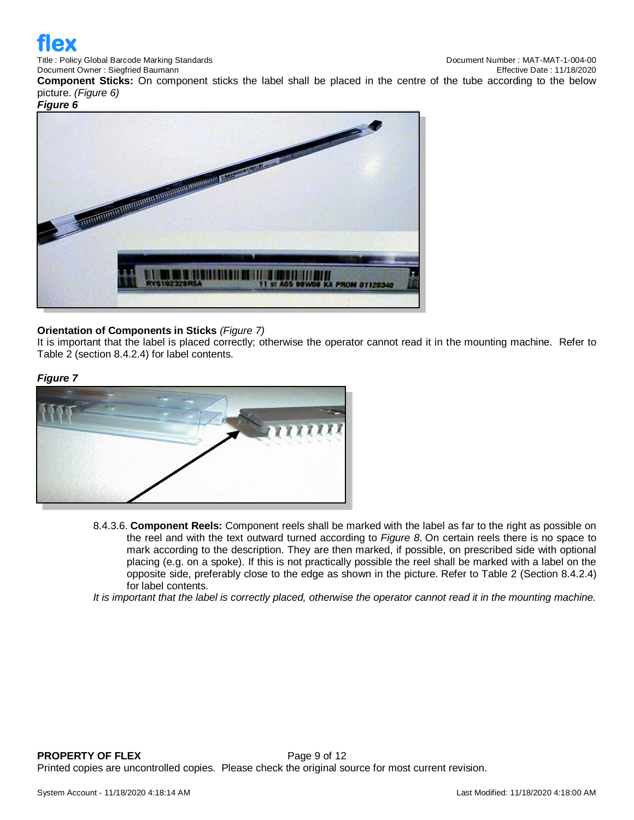

Title : Policy Global Barcode Marking Standards Document Number : MAT-MAT-1-004-00

**Component Sticks:** On component sticks the label shall be placed in the centre of the tube according to the below picture. *(Figure 6)*

*Figure 6*



## **Orientation of Components in Sticks** *(Figure 7)*

It is important that the label is placed correctly; otherwise the operator cannot read it in the mounting machine. Refer to Table 2 (section 8.4.2.4) for label contents.

## *Figure 7*



8.4.3.6. **Component Reels:** Component reels shall be marked with the label as far to the right as possible on the reel and with the text outward turned according to *Figure 8*. On certain reels there is no space to mark according to the description. They are then marked, if possible, on prescribed side with optional placing (e.g. on a spoke). If this is not practically possible the reel shall be marked with a label on the opposite side, preferably close to the edge as shown in the picture. Refer to Table 2 (Section 8.4.2.4) for label contents.

*It is important that the label is correctly placed, otherwise the operator cannot read it in the mounting machine.*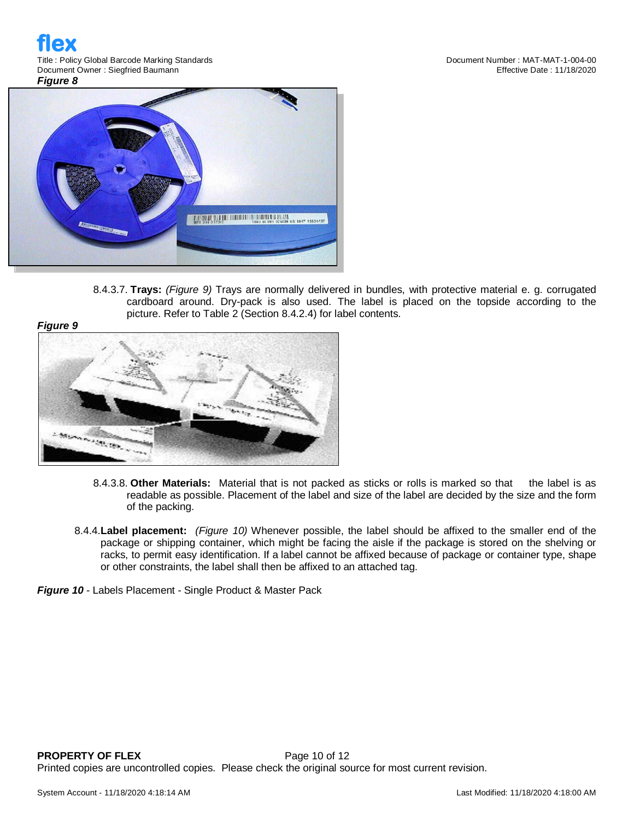

8.4.3.7. **Trays:** *(Figure 9)* Trays are normally delivered in bundles, with protective material e. g. corrugated cardboard around. Dry-pack is also used. The label is placed on the topside according to the picture. Refer to Table 2 (Section 8.4.2.4) for label contents.





- 8.4.3.8. **Other Materials:** Material that is not packed as sticks or rolls is marked so that the label is as readable as possible. Placement of the label and size of the label are decided by the size and the form of the packing.
- 8.4.4.**Label placement:** *(Figure 10)* Whenever possible, the label should be affixed to the smaller end of the package or shipping container, which might be facing the aisle if the package is stored on the shelving or racks, to permit easy identification. If a label cannot be affixed because of package or container type, shape or other constraints, the label shall then be affixed to an attached tag.

*Figure 10* - Labels Placement - Single Product & Master Pack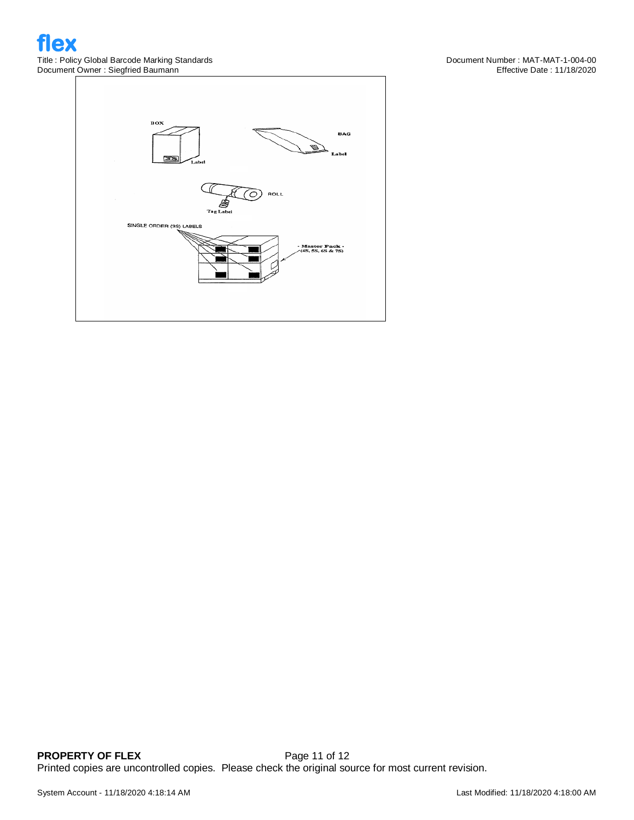